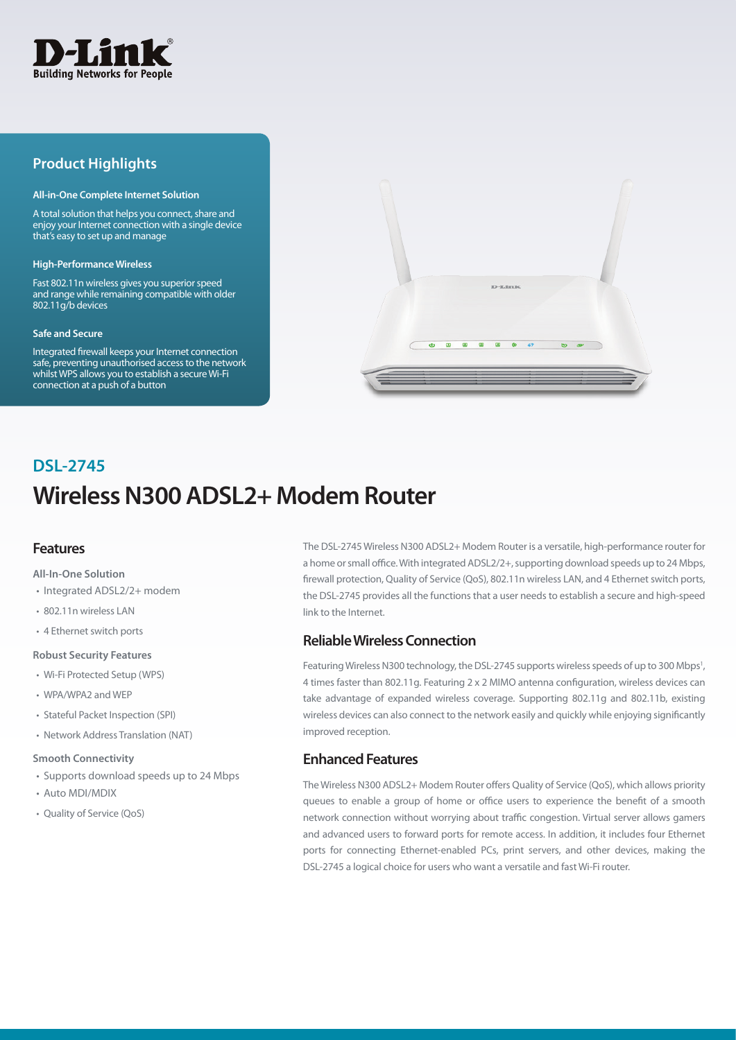

# **Product Highlights**

#### **All-in-One Complete Internet Solution**

A total solution that helps you connect, share and enjoy your Internet connection with a single device that's easy to set up and manage

#### **High-Performance Wireless**

Fast 802.11n wireless gives you superior speed and range while remaining compatible with older 802.11g/b devices

#### **Safe and Secure**

Integrated firewall keeps your Internet connection safe, preventing unauthorised access to the network whilst WPS allows you to establish a secure Wi-Fi connection at a push of a button



# **Wireless N300 ADSL2+ Modem Router DSL-2745**

## **Features**

#### **All-In-One Solution**

- Integrated ADSL2/2+ modem
- 802.11n wireless LAN
- 4 Ethernet switch ports

#### **Robust Security Features**

- Wi-Fi Protected Setup (WPS)
- WPA/WPA2 and WEP
- Stateful Packet Inspection (SPI)
- Network Address Translation (NAT)

#### **Smooth Connectivity**

- Supports download speeds up to 24 Mbps
- Auto MDI/MDIX
- Quality of Service (QoS)

The DSL-2745 Wireless N300 ADSL2+ Modem Router is a versatile, high-performance router for a home or small office. With integrated ADSL2/2+, supporting download speeds up to 24 Mbps, firewall protection, Quality of Service (QoS), 802.11n wireless LAN, and 4 Ethernet switch ports, the DSL-2745 provides all the functions that a user needs to establish a secure and high-speed link to the Internet.

## **Reliable Wireless Connection**

Featuring Wireless N300 technology, the DSL-2745 supports wireless speeds of up to 300 Mbps<sup>1</sup>, 4 times faster than 802.11g. Featuring 2 x 2 MIMO antenna configuration, wireless devices can take advantage of expanded wireless coverage. Supporting 802.11g and 802.11b, existing wireless devices can also connect to the network easily and quickly while enjoying significantly improved reception.

# **Enhanced Features**

The Wireless N300 ADSL2+ Modem Router offers Quality of Service (QoS), which allows priority queues to enable a group of home or office users to experience the benefit of a smooth network connection without worrying about traffic congestion. Virtual server allows gamers and advanced users to forward ports for remote access. In addition, it includes four Ethernet ports for connecting Ethernet-enabled PCs, print servers, and other devices, making the DSL-2745 a logical choice for users who want a versatile and fast Wi-Fi router.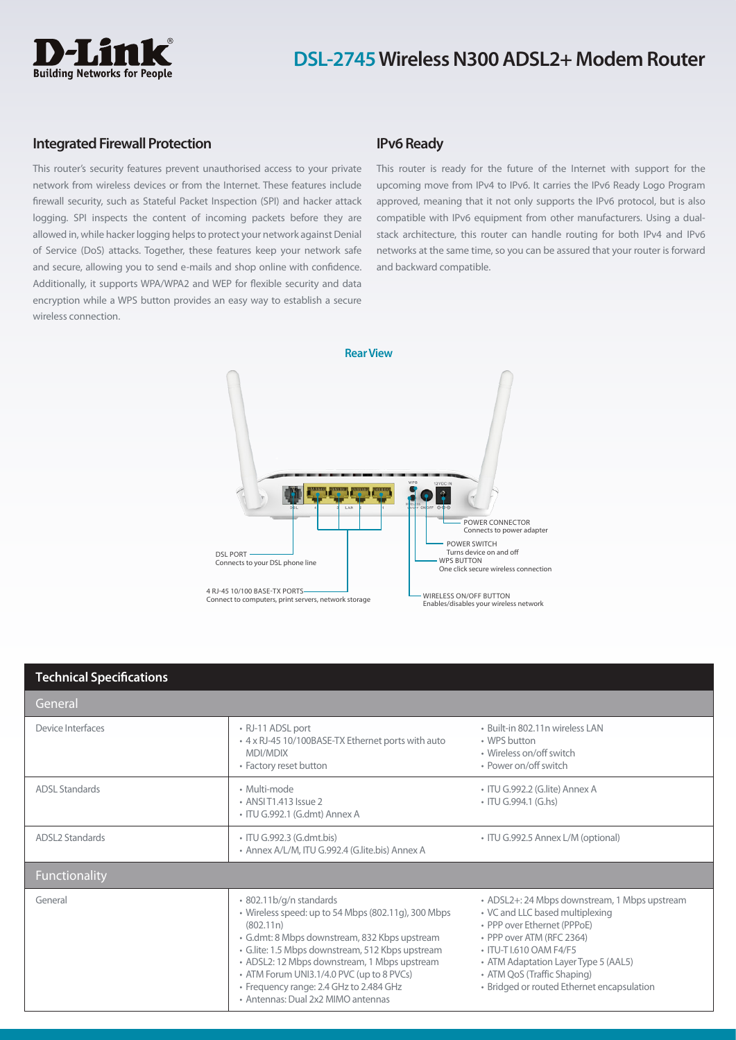

# **DSL-2745 Wireless N300 ADSL2+ Modem Router**

### **Integrated Firewall Protection**

This router's security features prevent unauthorised access to your private network from wireless devices or from the Internet. These features include firewall security, such as Stateful Packet Inspection (SPI) and hacker attack logging. SPI inspects the content of incoming packets before they are allowed in, while hacker logging helps to protect your network against Denial of Service (DoS) attacks. Together, these features keep your network safe and secure, allowing you to send e-mails and shop online with confidence. Additionally, it supports WPA/WPA2 and WEP for flexible security and data encryption while a WPS button provides an easy way to establish a secure wireless connection.

# **IPv6 Ready**

This router is ready for the future of the Internet with support for the upcoming move from IPv4 to IPv6. It carries the IPv6 Ready Logo Program approved, meaning that it not only supports the IPv6 protocol, but is also compatible with IPv6 equipment from other manufacturers. Using a dualstack architecture, this router can handle routing for both IPv4 and IPv6 networks at the same time, so you can be assured that your router is forward and backward compatible.



| <b>Technical Specifications</b> |                                                                                                                                                                                                                                                                                                                                                                                |                                                                                                                                                                                                                                                                                              |
|---------------------------------|--------------------------------------------------------------------------------------------------------------------------------------------------------------------------------------------------------------------------------------------------------------------------------------------------------------------------------------------------------------------------------|----------------------------------------------------------------------------------------------------------------------------------------------------------------------------------------------------------------------------------------------------------------------------------------------|
| General                         |                                                                                                                                                                                                                                                                                                                                                                                |                                                                                                                                                                                                                                                                                              |
| Device Interfaces               | • RJ-11 ADSL port<br>• 4 x RJ-45 10/100BASE-TX Ethernet ports with auto<br>MDI/MDIX<br>• Factory reset button                                                                                                                                                                                                                                                                  | · Built-in 802.11n wireless LAN<br>• WPS button<br>• Wireless on/off switch<br>• Power on/off switch                                                                                                                                                                                         |
| <b>ADSL Standards</b>           | · Multi-mode<br>• ANSIT1.413 Issue 2<br>· ITU G.992.1 (G.dmt) Annex A                                                                                                                                                                                                                                                                                                          | · ITU G.992.2 (G.lite) Annex A<br>• ITU G.994.1 (G.hs)                                                                                                                                                                                                                                       |
| <b>ADSL2 Standards</b>          | • ITU G.992.3 (G.dmt.bis)<br>• Annex A/L/M, ITU G.992.4 (G.lite.bis) Annex A                                                                                                                                                                                                                                                                                                   | • ITU G.992.5 Annex L/M (optional)                                                                                                                                                                                                                                                           |
| Functionality                   |                                                                                                                                                                                                                                                                                                                                                                                |                                                                                                                                                                                                                                                                                              |
| General                         | · 802.11b/g/n standards<br>• Wireless speed: up to 54 Mbps (802.11g), 300 Mbps<br>(802.11n)<br>· G.dmt: 8 Mbps downstream, 832 Kbps upstream<br>· G.lite: 1.5 Mbps downstream, 512 Kbps upstream<br>• ADSL2: 12 Mbps downstream, 1 Mbps upstream<br>• ATM Forum UNI3.1/4.0 PVC (up to 8 PVCs)<br>• Frequency range: 2.4 GHz to 2.484 GHz<br>• Antennas: Dual 2x2 MIMO antennas | • ADSL2+: 24 Mbps downstream, 1 Mbps upstream<br>• VC and LLC based multiplexing<br>• PPP over Ethernet (PPPoE)<br>• PPP over ATM (RFC 2364)<br>• ITU-T I.610 OAM F4/F5<br>• ATM Adaptation Layer Type 5 (AAL5)<br>• ATM QoS (Traffic Shaping)<br>· Bridged or routed Ethernet encapsulation |